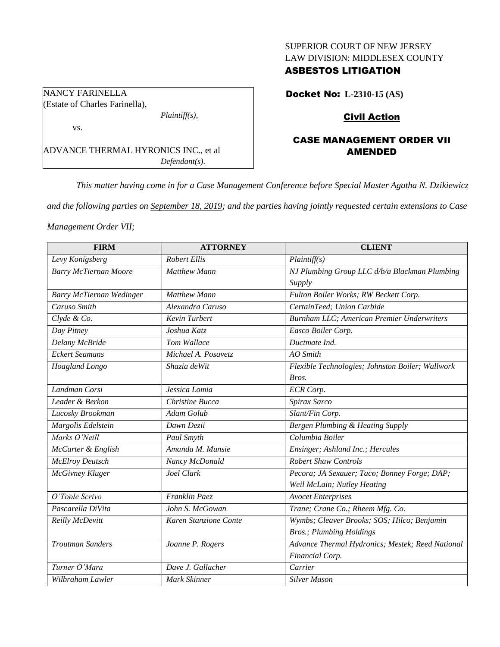# SUPERIOR COURT OF NEW JERSEY LAW DIVISION: MIDDLESEX COUNTY

# ASBESTOS LITIGATION

Docket No: **L-2310-15 (AS)**

# Civil Action

# CASE MANAGEMENT ORDER VII AMENDED

*Defendant(s).*

*This matter having come in for a Case Management Conference before Special Master Agatha N. Dzikiewicz* 

*and the following parties on September 18, 2019; and the parties having jointly requested certain extensions to Case* 

*Management Order VII;*

| <b>FIRM</b>              | <b>ATTORNEY</b>       | <b>CLIENT</b>                                    |
|--------------------------|-----------------------|--------------------------------------------------|
| Levy Konigsberg          | <b>Robert Ellis</b>   | Plaintiff(s)                                     |
| Barry McTiernan Moore    | <b>Matthew Mann</b>   | NJ Plumbing Group LLC d/b/a Blackman Plumbing    |
|                          |                       | Supply                                           |
| Barry McTiernan Wedinger | <b>Matthew Mann</b>   | Fulton Boiler Works; RW Beckett Corp.            |
| Caruso Smith             | Alexandra Caruso      | CertainTeed; Union Carbide                       |
| Clyde & Co.              | <b>Kevin Turbert</b>  | Burnham LLC; American Premier Underwriters       |
| Day Pitney               | Joshua Katz           | Easco Boiler Corp.                               |
| Delany McBride           | Tom Wallace           | Ductmate Ind.                                    |
| <b>Eckert Seamans</b>    | Michael A. Posavetz   | AO Smith                                         |
| Hoagland Longo           | Shazia deWit          | Flexible Technologies; Johnston Boiler; Wallwork |
|                          |                       | Bros.                                            |
| Landman Corsi            | Jessica Lomia         | <b>ECR</b> Corp.                                 |
| Leader & Berkon          | Christine Bucca       | Spirax Sarco                                     |
| Lucosky Brookman         | Adam Golub            | Slant/Fin Corp.                                  |
| Margolis Edelstein       | Dawn Dezii            | Bergen Plumbing & Heating Supply                 |
| Marks O'Neill            | Paul Smyth            | Columbia Boiler                                  |
| McCarter & English       | Amanda M. Munsie      | Ensinger; Ashland Inc.; Hercules                 |
| <b>McElroy Deutsch</b>   | Nancy McDonald        | <b>Robert Shaw Controls</b>                      |
| McGivney Kluger          | Joel Clark            | Pecora; JA Sexauer; Taco; Bonney Forge; DAP;     |
|                          |                       | Weil McLain; Nutley Heating                      |
| O'Toole Scrivo           | Franklin Paez         | <b>Avocet Enterprises</b>                        |
| Pascarella DiVita        | John S. McGowan       | Trane; Crane Co.; Rheem Mfg. Co.                 |
| Reilly McDevitt          | Karen Stanzione Conte | Wymbs; Cleaver Brooks; SOS; Hilco; Benjamin      |
|                          |                       | <b>Bros.</b> ; Plumbing Holdings                 |
| <b>Troutman Sanders</b>  | Joanne P. Rogers      | Advance Thermal Hydronics; Mestek; Reed National |
|                          |                       | Financial Corp.                                  |
| Turner O'Mara            | Dave J. Gallacher     | Carrier                                          |
| Wilbraham Lawler         | Mark Skinner          | <b>Silver Mason</b>                              |

NANCY FARINELLA (Estate of Charles Farinella), *Plaintiff(s),*

ADVANCE THERMAL HYRONICS INC., et al

vs.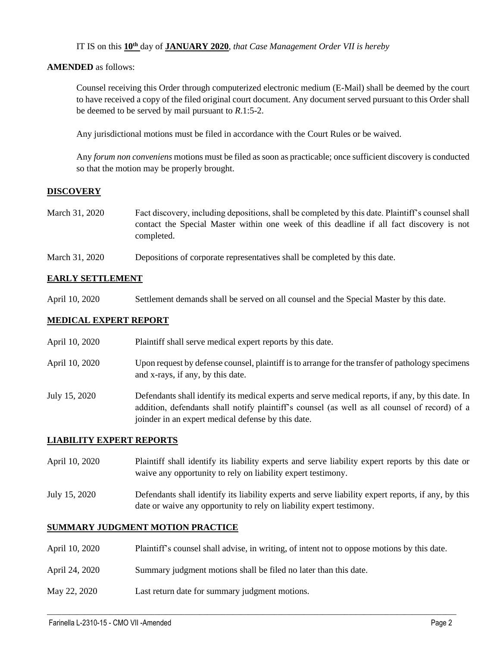IT IS on this **10th** day of **JANUARY 2020**, *that Case Management Order VII is hereby*

## **AMENDED** as follows:

Counsel receiving this Order through computerized electronic medium (E-Mail) shall be deemed by the court to have received a copy of the filed original court document. Any document served pursuant to this Order shall be deemed to be served by mail pursuant to *R*.1:5-2.

Any jurisdictional motions must be filed in accordance with the Court Rules or be waived.

Any *forum non conveniens* motions must be filed as soon as practicable; once sufficient discovery is conducted so that the motion may be properly brought.

# **DISCOVERY**

- March 31, 2020 Fact discovery, including depositions, shall be completed by this date. Plaintiff's counsel shall contact the Special Master within one week of this deadline if all fact discovery is not completed.
- March 31, 2020 Depositions of corporate representatives shall be completed by this date.

## **EARLY SETTLEMENT**

April 10, 2020 Settlement demands shall be served on all counsel and the Special Master by this date.

## **MEDICAL EXPERT REPORT**

- April 10, 2020 Plaintiff shall serve medical expert reports by this date.
- April 10, 2020 Upon request by defense counsel, plaintiff is to arrange for the transfer of pathology specimens and x-rays, if any, by this date.
- July 15, 2020 Defendants shall identify its medical experts and serve medical reports, if any, by this date. In addition, defendants shall notify plaintiff's counsel (as well as all counsel of record) of a joinder in an expert medical defense by this date.

#### **LIABILITY EXPERT REPORTS**

- April 10, 2020 Plaintiff shall identify its liability experts and serve liability expert reports by this date or waive any opportunity to rely on liability expert testimony.
- July 15, 2020 Defendants shall identify its liability experts and serve liability expert reports, if any, by this date or waive any opportunity to rely on liability expert testimony.

#### **SUMMARY JUDGMENT MOTION PRACTICE**

April 10, 2020 Plaintiff's counsel shall advise, in writing, of intent not to oppose motions by this date.

 $\_$  , and the set of the set of the set of the set of the set of the set of the set of the set of the set of the set of the set of the set of the set of the set of the set of the set of the set of the set of the set of th

- April 24, 2020 Summary judgment motions shall be filed no later than this date.
- May 22, 2020 Last return date for summary judgment motions.